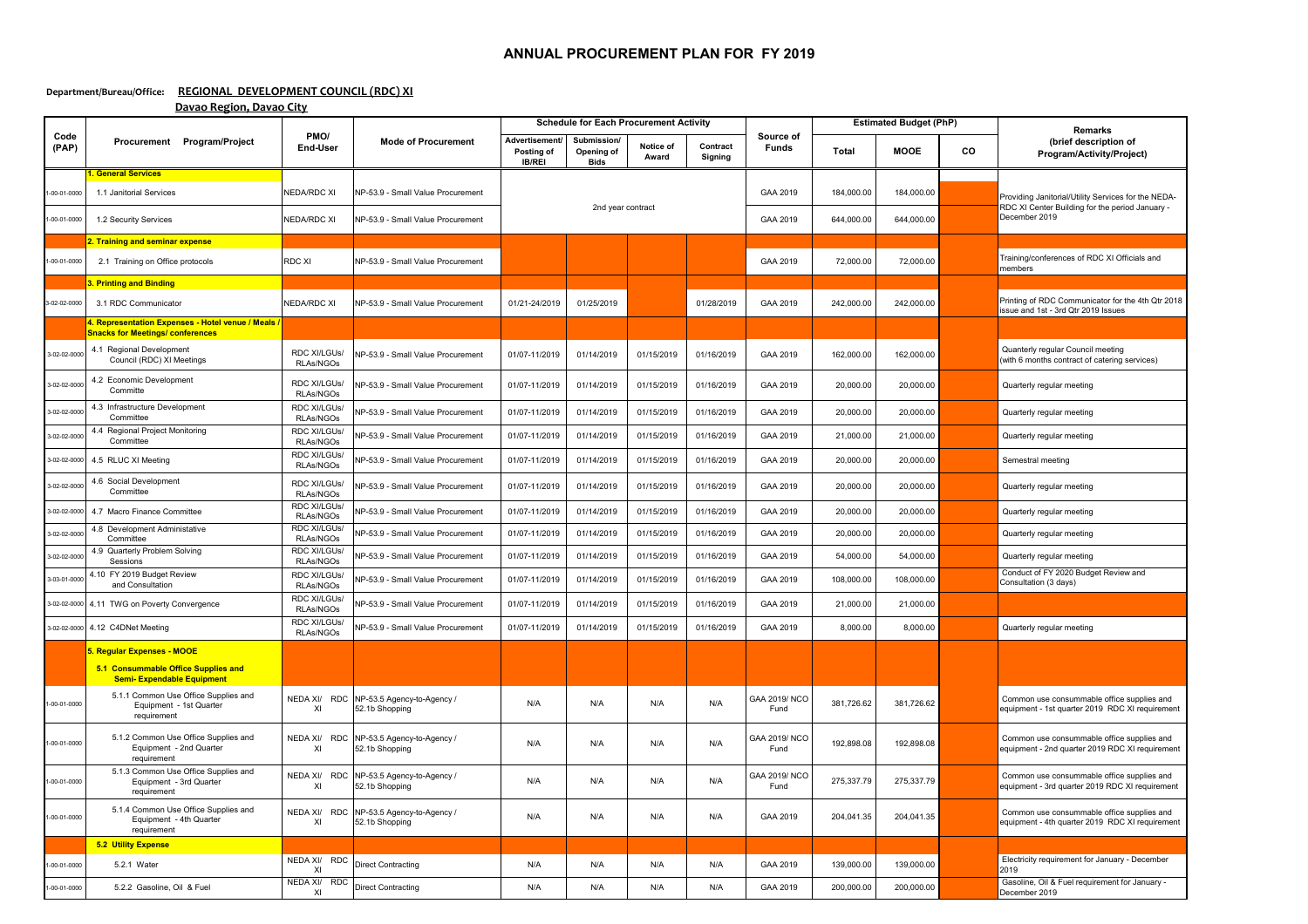## **ANNUAL PROCUREMENT PLAN FOR FY 2019**

## **Department/Bureau/Office: REGIONAL DEVELOPMENT COUNCIL (RDC) XI Davao Region, Davao City**

|                               | Procurement Program/Project                                                                            | PMO/<br><b>End-User</b>           | <b>Mode of Procurement</b>                                             | <b>Schedule for Each Procurement Activity</b>       |                                          |                    |                            |                           | <b>Estimated Budget (PhP)</b> |                          |    | <b>Remarks</b>                                                                                                          |
|-------------------------------|--------------------------------------------------------------------------------------------------------|-----------------------------------|------------------------------------------------------------------------|-----------------------------------------------------|------------------------------------------|--------------------|----------------------------|---------------------------|-------------------------------|--------------------------|----|-------------------------------------------------------------------------------------------------------------------------|
| Code<br>(PAP)                 |                                                                                                        |                                   |                                                                        | Advertisement<br><b>Posting of</b><br><b>IB/REI</b> | Submission/<br>Opening of<br><b>Bids</b> | Notice of<br>Award | Contract<br><b>Signing</b> | Source of<br><b>Funds</b> | <b>Total</b>                  | <b>MOOE</b>              | co | (brief description of<br>Program/Activity/Project)                                                                      |
| 1-00-01-0000<br>$-00-01-0000$ | 1. General Services<br>1.1 Janitorial Services<br>1.2 Security Services                                | NEDA/RDC XI<br><b>NEDA/RDC XI</b> | NP-53.9 - Small Value Procurement<br>NP-53.9 - Small Value Procurement | 2nd year contract                                   |                                          |                    |                            | GAA 2019<br>GAA 2019      | 184,000.00<br>644,000.00      | 184,000.00<br>644,000.00 |    | Providing Janitorial/Utility Services for the NEDA-<br>RDC XI Center Building for the period January -<br>December 2019 |
|                               |                                                                                                        |                                   |                                                                        |                                                     |                                          |                    |                            |                           |                               |                          |    |                                                                                                                         |
| $-00-01-0000$                 | 2. Training and seminar expense<br>2.1 Training on Office protocols                                    | <b>RDC XI</b>                     | NP-53.9 - Small Value Procurement                                      |                                                     |                                          |                    |                            | GAA 2019                  | 72,000.00                     | 72,000.00                |    | Training/conferences of RDC XI Officials and<br>members                                                                 |
|                               | 3. Printing and Binding                                                                                |                                   |                                                                        |                                                     |                                          |                    |                            |                           |                               |                          |    |                                                                                                                         |
| 3-02-02-0000                  | 3.1 RDC Communicator                                                                                   | NEDA/RDC XI                       | NP-53.9 - Small Value Procurement                                      | 01/21-24/2019                                       | 01/25/2019                               |                    | 01/28/2019                 | GAA 2019                  | 242,000.00                    | 242,000.00               |    | Printing of RDC Communicator for the 4th Qtr 2018<br>issue and 1st - 3rd Qtr 2019 Issues                                |
|                               | 4. Representation Expenses - Hotel venue / Meals /<br><b>Snacks for Meetings/ conferences</b>          |                                   |                                                                        |                                                     |                                          |                    |                            |                           |                               |                          |    |                                                                                                                         |
| 3-02-02-0000                  | 4.1 Regional Development<br>Council (RDC) XI Meetings                                                  | RDC XI/LGUs/<br>RLAs/NGOs         | NP-53.9 - Small Value Procurement                                      | 01/07-11/2019                                       | 01/14/2019                               | 01/15/2019         | 01/16/2019                 | GAA 2019                  | 162,000.00                    | 162,000.00               |    | Quanterly regular Council meeting<br>(with 6 months contract of catering services)                                      |
| 3-02-02-0000                  | 4.2 Economic Development<br>Committe                                                                   | RDC XI/LGUs/<br>RLAs/NGOs         | NP-53.9 - Small Value Procurement                                      | 01/07-11/2019                                       | 01/14/2019                               | 01/15/2019         | 01/16/2019                 | GAA 2019                  | 20,000.00                     | 20,000.00                |    | Quarterly regular meeting                                                                                               |
| 3-02-02-000                   | 4.3 Infrastructure Development<br>Committee                                                            | RDC XI/LGUs/<br>RLAs/NGOs         | NP-53.9 - Small Value Procurement                                      | 01/07-11/2019                                       | 01/14/2019                               | 01/15/2019         | 01/16/2019                 | GAA 2019                  | 20,000.00                     | 20,000.00                |    | Quarterly regular meeting                                                                                               |
| 3-02-02-000                   | 4.4 Regional Project Monitoring<br>Committee                                                           | RDC XI/LGUs/<br>RLAs/NGOs         | NP-53.9 - Small Value Procurement                                      | 01/07-11/2019                                       | 01/14/2019                               | 01/15/2019         | 01/16/2019                 | GAA 2019                  | 21,000.00                     | 21,000.00                |    | Quarterly regular meeting                                                                                               |
| 3-02-02-0000                  | 4.5 RLUC XI Meeting                                                                                    | RDC XI/LGUs/<br>RLAs/NGOs         | NP-53.9 - Small Value Procurement                                      | 01/07-11/2019                                       | 01/14/2019                               | 01/15/2019         | 01/16/2019                 | GAA 2019                  | 20,000.00                     | 20,000.00                |    | Semestral meeting                                                                                                       |
| 3-02-02-000                   | 4.6 Social Development<br>Committee                                                                    | RDC XI/LGUs/<br>RLAs/NGOs         | NP-53.9 - Small Value Procurement                                      | 01/07-11/2019                                       | 01/14/2019                               | 01/15/2019         | 01/16/2019                 | GAA 2019                  | 20,000.00                     | 20,000.00                |    | Quarterly regular meeting                                                                                               |
| 3-02-02-0000                  | 4.7 Macro Finance Committee                                                                            | RDC XI/LGUs/<br>RLAs/NGOs         | NP-53.9 - Small Value Procurement                                      | 01/07-11/2019                                       | 01/14/2019                               | 01/15/2019         | 01/16/2019                 | GAA 2019                  | 20,000.00                     | 20,000.00                |    | Quarterly regular meeting                                                                                               |
| 3-02-02-000                   | 4.8 Development Administative<br>Committee                                                             | RDC XI/LGUs/<br>RLAs/NGOs         | NP-53.9 - Small Value Procurement                                      | 01/07-11/2019                                       | 01/14/2019                               | 01/15/2019         | 01/16/2019                 | GAA 2019                  | 20,000.00                     | 20,000.00                |    | Quarterly regular meeting                                                                                               |
| 3-02-02-0000                  | 4.9 Quarterly Problem Solving<br>Sessions                                                              | RDC XI/LGUs/<br>RLAs/NGOs         | NP-53.9 - Small Value Procurement                                      | 01/07-11/2019                                       | 01/14/2019                               | 01/15/2019         | 01/16/2019                 | GAA 2019                  | 54,000.00                     | 54,000.00                |    | Quarterly regular meeting                                                                                               |
| 3-03-01-0000                  | 4.10 FY 2019 Budget Review<br>and Consultation                                                         | RDC XI/LGUs/<br>RLAs/NGOs         | NP-53.9 - Small Value Procurement                                      | 01/07-11/2019                                       | 01/14/2019                               | 01/15/2019         | 01/16/2019                 | GAA 2019                  | 108,000.00                    | 108,000.00               |    | Conduct of FY 2020 Budget Review and<br>Consultation (3 days)                                                           |
|                               | 3-02-02-0000 4.11 TWG on Poverty Convergence                                                           | RDC XI/LGUs/<br>RLAs/NGOs         | NP-53.9 - Small Value Procurement                                      | 01/07-11/2019                                       | 01/14/2019                               | 01/15/2019         | 01/16/2019                 | GAA 2019                  | 21,000.00                     | 21,000.00                |    |                                                                                                                         |
|                               | 3-02-02-0000 4.12 C4DNet Meeting                                                                       | RDC XI/LGUs/<br>RLAs/NGOs         | NP-53.9 - Small Value Procurement                                      | 01/07-11/2019                                       | 01/14/2019                               | 01/15/2019         | 01/16/2019                 | GAA 2019                  | 8,000.00                      | 8,000.00                 |    | Quarterly regular meeting                                                                                               |
|                               | 5. Regular Expenses - MOOE<br>5.1 Consummable Office Supplies and<br><b>Semi- Expendable Equipment</b> |                                   |                                                                        |                                                     |                                          |                    |                            |                           |                               |                          |    |                                                                                                                         |
| $-00-01-0000$                 | 5.1.1 Common Use Office Supplies and<br>Equipment - 1st Quarter<br>requirement                         | NEDA XI/<br>XI                    | RDC NP-53.5 Agency-to-Agency /<br>52.1b Shopping                       | N/A                                                 | N/A                                      | N/A                | N/A                        | GAA 2019/NCO<br>Fund      | 381,726.62                    | 381,726.62               |    | Common use consummable office supplies and<br>equipment - 1st quarter 2019 RDC XI requirement                           |
| 1-00-01-0000                  | 5.1.2 Common Use Office Supplies and<br>Equipment - 2nd Quarter<br>requirement                         | NEDA XI/<br>XI                    | RDC NP-53.5 Agency-to-Agency /<br>52.1b Shopping                       | N/A                                                 | N/A                                      | N/A                | N/A                        | GAA 2019/NCO<br>Fund      | 192,898.08                    | 192,898.08               |    | Common use consummable office supplies and<br>equipment - 2nd quarter 2019 RDC XI requirement                           |
| 1-00-01-0000                  | 5.1.3 Common Use Office Supplies and<br>Equipment - 3rd Quarter<br>requirement                         | XI                                | NEDA XI/ RDC NP-53.5 Agency-to-Agency /<br>52.1b Shopping              | N/A                                                 | N/A                                      | N/A                | N/A                        | GAA 2019/NCO<br>Fund      | 275,337.79                    | 275,337.79               |    | Common use consummable office supplies and<br>equipment - 3rd quarter 2019 RDC XI requirement                           |
| 1-00-01-0000                  | 5.1.4 Common Use Office Supplies and<br>Equipment - 4th Quarter<br>requirement                         | NEDA XI/<br>XI                    | RDC NP-53.5 Agency-to-Agency /<br>52.1b Shopping                       | N/A                                                 | N/A                                      | N/A                | N/A                        | GAA 2019                  | 204,041.35                    | 204,041.35               |    | Common use consummable office supplies and<br>equipment - 4th quarter 2019 RDC XI requirement                           |
|                               | <b>5.2 Utility Expense</b>                                                                             |                                   |                                                                        |                                                     |                                          |                    |                            |                           |                               |                          |    |                                                                                                                         |
| 1-00-01-0000                  | 5.2.1 Water                                                                                            | NEDA XI/ RDC<br>XI                | <b>Direct Contracting</b>                                              | N/A                                                 | N/A                                      | N/A                | N/A                        | GAA 2019                  | 139,000.00                    | 139,000.00               |    | Electricity requirement for January - December<br>2019                                                                  |
| 1-00-01-0000                  | 5.2.2 Gasoline, Oil & Fuel                                                                             | NEDA XI/ RDC<br>ΧI                | <b>Direct Contracting</b>                                              | N/A                                                 | N/A                                      | N/A                | N/A                        | GAA 2019                  | 200,000.00                    | 200,000.00               |    | Gasoline, Oil & Fuel requirement for January -<br>December 2019                                                         |